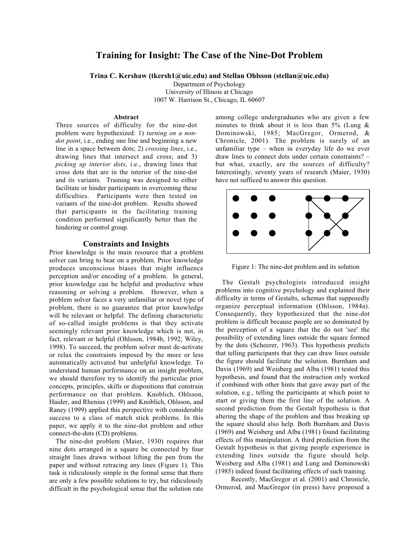# **Training for Insight: The Case of the Nine-Dot Problem**

**Trina C. Kershaw (tkersh1@uic.edu) and Stellan Ohlsson (stellan@uic.edu)**

Department of Psychology University of Illinois at Chicago 1007 W. Harrison St., Chicago, IL 60607

#### **Abstract**

Three sources of difficulty for the nine-dot problem were hypothesized: 1) *turning on a nondot point*, i.e., ending one line and beginning a new line in a space between dots; 2) *crossing lines*, i.e., drawing lines that intersect and cross; and 3) *picking up interior dots*, i.e., drawing lines that cross dots that are in the interior of the nine-dot and its variants. Training was designed to either facilitate or hinder participants in overcoming these difficulties. Participants were then tested on variants of the nine-dot problem. Results showed that participants in the facilitating training condition performed significantly better than the hindering or control group.

# **Constraints and Insights**

Prior knowledge is the main resource that a problem solver can bring to bear on a problem. Prior knowledge produces unconscious biases that might influence perception and/or encoding of a problem. In general, prior knowledge can be helpful and productive when reasoning or solving a problem. However, when a problem solver faces a very unfamiliar or novel type of problem, there is no guarantee that prior knowledge will be relevant or helpful. The defining characteristic of so-called insight problems is that they activate seemingly relevant prior knowledge which is not, in fact, relevant or helpful (Ohlsson, 1984b, 1992; Wiley, 1998). To succeed, the problem solver must de-activate or relax the constraints imposed by the more or less automatically activated but unhelpful knowledge. To understand human performance on an insight problem, we should therefore try to identify the particular prior concepts, principles, skills or dispositions that constrain performance on that problem. Knoblich, Ohlsson, Haider, and Rhenius (1999) and Knoblich, Ohlsson, and Raney (1999) applied this perspective with considerable success to a class of match stick problems. In this paper, we apply it to the nine-dot problem and other connect-the-dots (CD) problems.

The nine-dot problem (Maier, 1930) requires that nine dots arranged in a square be connected by four straight lines drawn without lifting the pen from the paper and without retracing any lines (Figure 1). This task is ridiculously simple in the formal sense that there are only a few possible solutions to try, but ridiculously difficult in the psychological sense that the solution rate among college undergraduates who are given a few minutes to think about it is less than  $5\%$  (Lung & Dominowski, 1985; MacGregor, Ormerod, & Chronicle, 2001). The problem is surely of an unfamiliar type – when in everyday life do we ever draw lines to connect dots under certain constraints? – but what, exactly, are the sources of difficulty? Interestingly, seventy years of research (Maier, 1930) have not sufficed to answer this question.



Figure 1: The nine-dot problem and its solution

The Gestalt psychologists introduced insight problems into cognitive psychology and explained their difficulty in terms of Gestalts, schemas that supposedly organize perceptual information (Ohlsson, 1984a). Consequently, they hypothesized that the nine-dot problem is difficult because people are so dominated by the perception of a square that the do not 'see' the possibility of extending lines outside the square formed by the dots (Scheerer, 1963). This hypothesis predicts that telling participants that they can draw lines outside the figure should facilitate the solution. Burnham and Davis (1969) and Weisberg and Alba (1981) tested this hypothesis, and found that the instruction only worked if combined with other hints that gave away part of the solution, e.g., telling the participants at which point to start or giving them the first line of the solution. A second prediction from the Gestalt hypothesis is that altering the shape of the problem and thus breaking up the square should also help. Both Burnham and Davis (1969) and Weisberg and Alba (1981) found facilitating effects of this manipulation. A third prediction from the Gestalt hypothesis is that giving people experience in extending lines outside the figure should help. Weisberg and Alba (1981) and Lung and Dominowski (1985) indeed found facilitating effects of such training.

Recently, MacGregor et al. (2001) and Chronicle, Ormerod, and MacGregor (in press) have proposed a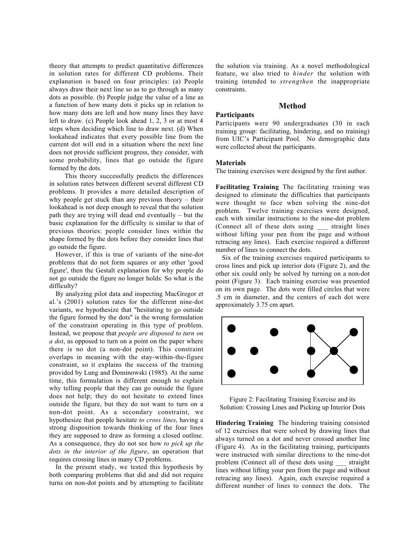theory that attempts to predict quantitative differences in solution rates for different CD problems. Their explanation is based on four principles: (a) People always draw their next line so as to go through as many dots as possible. (b) People judge the value of a line as a function of how many dots it picks up in relation to how many dots are left and how many lines they have left to draw. (c) People look ahead 1, 2, 3 or at most 4 steps when deciding which line to draw next. (d) When lookahead indicates that every possible line from the current dot will end in a situation where the next line does not provide sufficient progress, they consider, with some probability, lines that go outside the figure formed by the dots.

This theory successfully predicts the differences in solution rates between different several different CD problems. It provides a more detailed description of why people get stuck than any previous theory – their lookahead is not deep enough to reveal that the solution path they are trying will dead end eventually – but the basic explanation for the difficulty is similar to that of previous theories: people consider lines within the shape formed by the dots before they consider lines that go outside the figure.

However, if this is true of variants of the nine-dot problems that do not form squares or any other 'good figure', then the Gestalt explanation for why people do not go outside the figure no longer holds. So what is the difficulty?

By analyzing pilot data and inspecting MacGregor et al.'s (2001) solution rates for the different nine-dot variants, we hypothesize that "hesitating to go outside the figure formed by the dots" is the wrong formulation of the constraint operating in this type of problem. Instead, we propose that *people are disposed to turn on a dot*, as opposed to turn on a point on the paper where there is no dot (a non-dot point). This constraint overlaps in meaning with the stay-within-the-figure constraint, so it explains the success of the training provided by Lung and Dominowski (1985). At the same time, this formulation is different enough to explain why telling people that they can go outside the figure does not help; they do not hesitate to extend lines outside the figure, but they do not want to turn on a non-dot point. As a secondary constraint, we hypothesize that people hesitate *to cross lines*, having a strong disposition towards thinking of the four lines they are supposed to draw as forming a closed outline. As a consequence, they do not see how *to pick up the dots in the interior of the figure*, an operation that requires crossing lines in many CD problems.

In the present study, we tested this hypothesis by both comparing problems that did and did not require turns on non-dot points and by attempting to facilitate

the solution via training. As a novel methodological feature, we also tried to *hinder* the solution with training intended to *strengthen* the inappropriate constraints.

# **Method**

## **Participants**

Participants were 90 undergraduates (30 in each training group: facilitating, hindering, and no training) from UIC's Participant Pool. No demographic data were collected about the participants.

## **Materials**

The training exercises were designed by the first author.

**Facilitating Training** The facilitating training was designed to eliminate the difficulties that participants were thought to face when solving the nine-dot problem. Twelve training exercises were designed, each with similar instructions to the nine-dot problem (Connect all of these dots using \_\_\_ straight lines without lifting your pen from the page and without retracing any lines). Each exercise required a different number of lines to connect the dots.

Six of the training exercises required participants to cross lines and pick up interior dots (Figure 2), and the other six could only be solved by turning on a non-dot point (Figure 3). Each training exercise was presented on its own page. The dots were filled circles that were .5 cm in diameter, and the centers of each dot were approximately 3.75 cm apart.



Figure 2: Facilitating Training Exercise and its Solution: Crossing Lines and Picking up Interior Dots

**Hindering Training** The hindering training consisted of 12 exercises that were solved by drawing lines that always turned on a dot and never crossed another line (Figure 4). As in the facilitating training, participants were instructed with similar directions to the nine-dot problem (Connect all of these dots using \_\_\_ straight lines without lifting your pen from the page and without retracing any lines). Again, each exercise required a different number of lines to connect the dots. The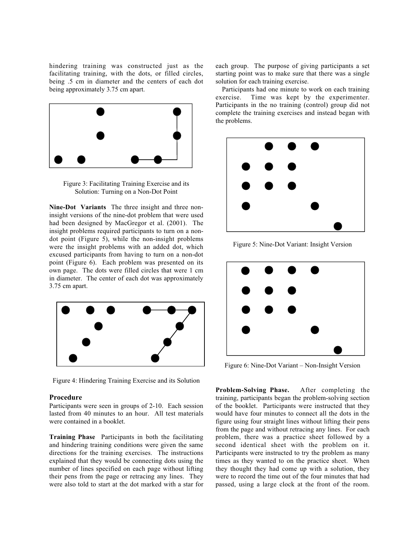hindering training was constructed just as the facilitating training, with the dots, or filled circles, being .5 cm in diameter and the centers of each dot being approximately 3.75 cm apart.



Figure 3: Facilitating Training Exercise and its Solution: Turning on a Non-Dot Point

**Nine-Dot Variants** The three insight and three noninsight versions of the nine-dot problem that were used had been designed by MacGregor et al. (2001). The insight problems required participants to turn on a nondot point (Figure 5), while the non-insight problems were the insight problems with an added dot, which excused participants from having to turn on a non-dot point (Figure 6). Each problem was presented on its own page. The dots were filled circles that were 1 cm in diameter. The center of each dot was approximately 3.75 cm apart.



Figure 4: Hindering Training Exercise and its Solution

### **Procedure**

Participants were seen in groups of 2-10. Each session lasted from 40 minutes to an hour. All test materials were contained in a booklet.

**Training Phase** Participants in both the facilitating and hindering training conditions were given the same directions for the training exercises. The instructions explained that they would be connecting dots using the number of lines specified on each page without lifting their pens from the page or retracing any lines. They were also told to start at the dot marked with a star for

each group. The purpose of giving participants a set starting point was to make sure that there was a single solution for each training exercise.

Participants had one minute to work on each training exercise. Time was kept by the experimenter. Participants in the no training (control) group did not complete the training exercises and instead began with the problems.



Figure 5: Nine-Dot Variant: Insight Version



Figure 6: Nine-Dot Variant – Non-Insight Version

**Problem-Solving Phase.** After completing the training, participants began the problem-solving section of the booklet. Participants were instructed that they would have four minutes to connect all the dots in the figure using four straight lines without lifting their pens from the page and without retracing any lines. For each problem, there was a practice sheet followed by a second identical sheet with the problem on it. Participants were instructed to try the problem as many times as they wanted to on the practice sheet. When they thought they had come up with a solution, they were to record the time out of the four minutes that had passed, using a large clock at the front of the room.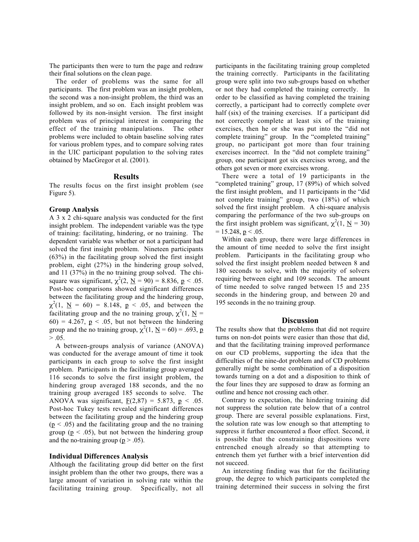The participants then were to turn the page and redraw their final solutions on the clean page.

The order of problems was the same for all participants. The first problem was an insight problem, the second was a non-insight problem, the third was an insight problem, and so on. Each insight problem was followed by its non-insight version. The first insight problem was of principal interest in comparing the effect of the training manipulations. The other problems were included to obtain baseline solving rates for various problem types, and to compare solving rates in the UIC participant population to the solving rates obtained by MacGregor et al. (2001).

### **Results**

The results focus on the first insight problem (see Figure 5).

### **Group Analysis**

A 3 x 2 chi-square analysis was conducted for the first insight problem. The independent variable was the type of training: facilitating, hindering, or no training. The dependent variable was whether or not a participant had solved the first insight problem. Nineteen participants (63%) in the facilitating group solved the first insight problem, eight (27%) in the hindering group solved, and 11 (37%) in the no training group solved. The chisquare was significant,  $\chi^2(2, \underline{N} = 90) = 8.836$ ,  $\underline{p} < .05$ . Post-hoc comparisons showed significant differences between the facilitating group and the hindering group,  $\chi^2(1, \underline{N} = 60) = 8.148, \underline{p} < .05$ , and between the facilitating group and the no training group,  $\chi^2(1, 1)$ 60) = 4.267,  $p \le 0.05$ , but not between the hindering group and the no training group,  $\chi^2(1, \underline{N} = 60) = .693$ , p  $> .05.$ 

A between-groups analysis of variance (ANOVA) was conducted for the average amount of time it took participants in each group to solve the first insight problem. Participants in the facilitating group averaged 116 seconds to solve the first insight problem, the hindering group averaged 188 seconds, and the no training group averaged 185 seconds to solve. The ANOVA was significant,  $F(2,87) = 5.873$ ,  $p < .05$ . Post-hoc Tukey tests revealed significant differences between the facilitating group and the hindering group  $(p < .05)$  and the facilitating group and the no training group ( $p < .05$ ), but not between the hindering group and the no-training group ( $p > .05$ ).

#### **Individual Differences Analysis**

Although the facilitating group did better on the first insight problem than the other two groups, there was a large amount of variation in solving rate within the facilitating training group. Specifically, not all participants in the facilitating training group completed the training correctly. Participants in the facilitating group were split into two sub-groups based on whether or not they had completed the training correctly. In order to be classified as having completed the training correctly, a participant had to correctly complete over half (six) of the training exercises. If a participant did not correctly complete at least six of the training exercises, then he or she was put into the "did not complete training" group. In the "completed training" group, no participant got more than four training exercises incorrect. In the "did not complete training" group, one participant got six exercises wrong, and the others got seven or more exercises wrong.

There were a total of 19 participants in the "completed training" group, 17 (89%) of which solved the first insight problem, and 11 participants in the "did not complete training" group, two (18%) of which solved the first insight problem. A chi-square analysis comparing the performance of the two sub-groups on the first insight problem was significant,  $\chi^2(1, \underline{N} = 30)$  $= 15.248$ , p  $< .05$ .

Within each group, there were large differences in the amount of time needed to solve the first insight problem. Participants in the facilitating group who solved the first insight problem needed between 8 and 180 seconds to solve, with the majority of solvers requiring between eight and 109 seconds. The amount of time needed to solve ranged between 15 and 235 seconds in the hindering group, and between 20 and 195 seconds in the no training group.

### **Discussion**

The results show that the problems that did not require turns on non-dot points were easier than those that did, and that the facilitating training improved performance on our CD problems, supporting the idea that the difficulties of the nine-dot problem and of CD problems generally might be some combination of a disposition towards turning on a dot and a disposition to think of the four lines they are supposed to draw as forming an outline and hence not crossing each other.

Contrary to expectation, the hindering training did not suppress the solution rate below that of a control group. There are several possible explanations. First, the solution rate was low enough so that attempting to suppress it further encountered a floor effect. Second, it is possible that the constraining dispositions were entrenched enough already so that attempting to entrench them yet further with a brief intervention did not succeed.

An interesting finding was that for the facilitating group, the degree to which participants completed the training determined their success in solving the first